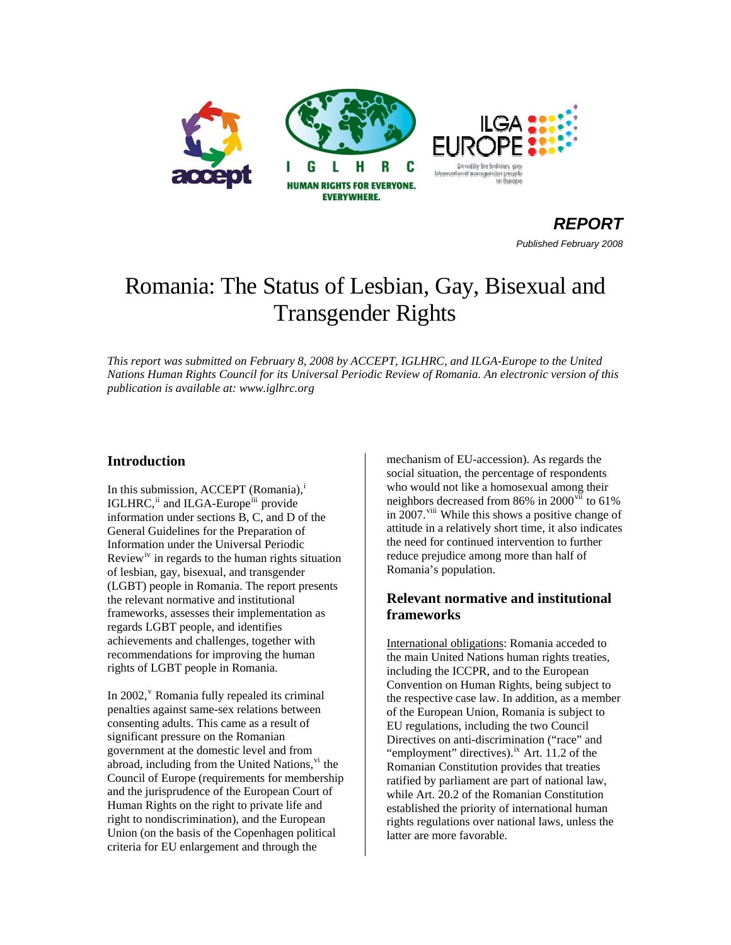

*REPORTPublished February 2008* 

# Romania: The Status of Lesbian, Gay, Bisexual and Transgender Rights

*This report was submitted on February 8, 2008 by ACCEPT, IGLHRC, and ILGA-Europe to the United Nations Human Rights Council for its Universal Periodic Review of Romania. An electronic version of this publication is available at: www.iglhrc.org* 

## **Introduction**

In th[i](#page-6-0)s submission, ACCEPT (Romania), $\frac{1}{2}$ IGLHRC,<sup>[ii](#page-6-1)</sup> and ILGA-Europe<sup>iii</sup> provide information under sections B, C, and D of the General Guidelines for the Preparation of Information under the Universal Periodic Review<sup>[iv](#page-6-1)</sup> in regards to the human rights situation of lesbian, gay, bisexual, and transgender (LGBT) people in Romania. The report presents the relevant normative and institutional frameworks, assesses their implementation as regards LGBT people, and identifies achievements and challenges, together with recommendations for improving the human rights of LGBT people in Romania.

In 2002,<sup>[v](#page-6-1)</sup> Romania fully repealed its criminal penalties against same-sex relations between consenting adults. This came as a result of significant pressure on the Romanian government at the domestic level and from abroad, including from the United Nations, v<sup>i</sup> the Council of Europe (requirements for membership and the jurisprudence of the European Court of Human Rights on the right to private life and right to nondiscrimination), and the European Union (on the basis of the Copenhagen political criteria for EU enlargement and through the

mechanism of EU-accession). As regards the social situation, the percentage of respondents who would not like a homosexual among their neighbors decreased from 86% in 2000 $\mathrm{vii}$  $\mathrm{vii}$  $\mathrm{vii}$  to 61% in 2007.<sup>[viii](#page-6-1)</sup> While this shows a positive change of attitude in a relatively short time, it also indicates the need for continued intervention to further reduce prejudice among more than half of Romania's population.

## **Relevant normative and institutional frameworks**

International obligations: Romania acceded to the main United Nations human rights treaties, including the ICCPR, and to the European Convention on Human Rights, being subject to the respective case law. In addition, as a member of the European Union, Romania is subject to EU regulations, including the two Council Directives on anti-discrimination ("race" and "employment" directives).<sup>[ix](#page-6-1)</sup> Art. 11.2 of the Romanian Constitution provides that treaties ratified by parliament are part of national law, while Art. 20.2 of the Romanian Constitution established the priority of international human rights regulations over national laws, unless the latter are more favorable.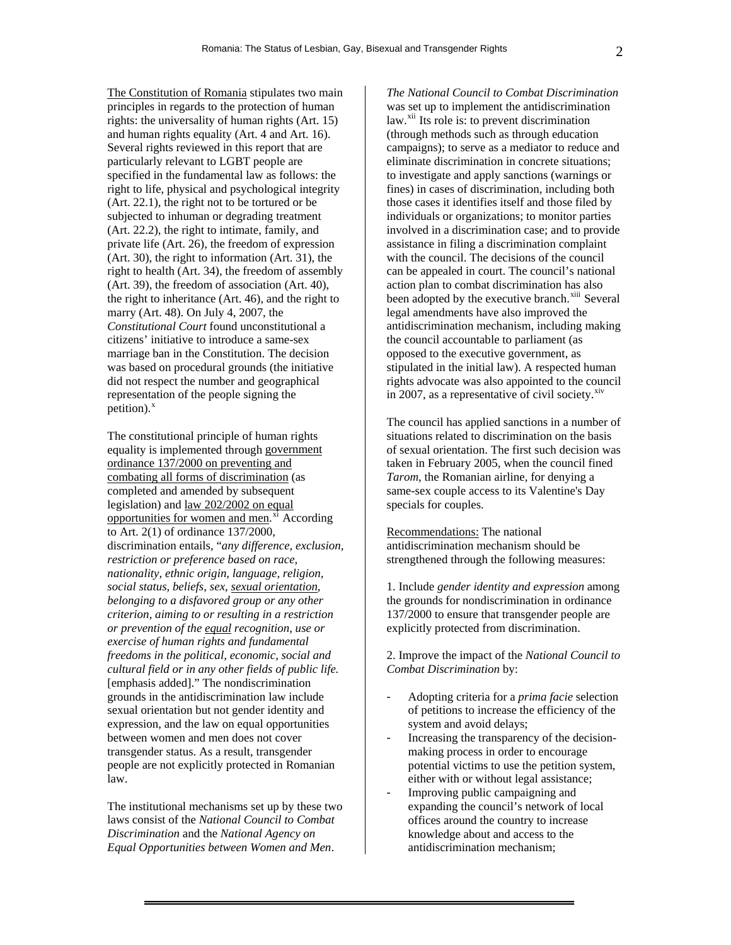The Constitution of Romania stipulates two main principles in regards to the protection of human rights: the universality of human rights (Art. 15) and human rights equality (Art. 4 and Art. 16). Several rights reviewed in this report that are particularly relevant to LGBT people are specified in the fundamental law as follows: the right to life, physical and psychological integrity (Art. 22.1), the right not to be tortured or be subjected to inhuman or degrading treatment (Art. 22.2), the right to intimate, family, and private life (Art. 26), the freedom of expression (Art. 30), the right to information (Art. 31), the right to health (Art. 34), the freedom of assembly (Art. 39), the freedom of association (Art. 40), the right to inheritance (Art. 46), and the right to marry (Art. 48). On July 4, 2007, the *Constitutional Court* found unconstitutional a citizens' initiative to introduce a same-sex marriage ban in the Constitution. The decision was based on procedural grounds (the initiative did not respect the number and geographical representation of the people signing the petition). $x$ 

The constitutional principle of human rights equality is implemented through government ordinance 137/2000 on preventing and combating all forms of discrimination (as completed and amended by subsequent legislation) and law 202/2002 on equal opportunities for women and men.<sup>[xi](#page-6-1)</sup> According to Art. 2(1) of ordinance 137/2000, discrimination entails, "*any difference, exclusion, restriction or preference based on race, nationality, ethnic origin, language, religion, social status, beliefs, sex, sexual orientation, belonging to a disfavored group or any other criterion, aiming to or resulting in a restriction or prevention of the equal recognition, use or exercise of human rights and fundamental freedoms in the political, economic, social and cultural field or in any other fields of public life.* [emphasis added]." The nondiscrimination grounds in the antidiscrimination law include sexual orientation but not gender identity and expression, and the law on equal opportunities between women and men does not cover transgender status. As a result, transgender people are not explicitly protected in Romanian law.

The institutional mechanisms set up by these two laws consist of the *National Council to Combat Discrimination* and the *National Agency on Equal Opportunities between Women and Men*.

*The National Council to Combat Discrimination* was set up to implement the antidiscrimination  $law.<sup>xii</sup>$  $law.<sup>xii</sup>$  $law.<sup>xii</sup>$  Its role is: to prevent discrimination (through methods such as through education campaigns); to serve as a mediator to reduce and eliminate discrimination in concrete situations; to investigate and apply sanctions (warnings or fines) in cases of discrimination, including both those cases it identifies itself and those filed by individuals or organizations; to monitor parties involved in a discrimination case; and to provide assistance in filing a discrimination complaint with the council. The decisions of the council can be appealed in court. The council's national action plan to combat discrimination has also been adopted by the executive branch.<sup>[xiii](#page-6-1)</sup> Several legal amendments have also improved the antidiscrimination mechanism, including making the council accountable to parliament (as opposed to the executive government, as stipulated in the initial law). A respected human rights advocate was also appointed to the council in 2007, as a representative of civil society. $\frac{\text{xiv}}{\text{v}}$  $\frac{\text{xiv}}{\text{v}}$  $\frac{\text{xiv}}{\text{v}}$ 

The council has applied sanctions in a number of situations related to discrimination on the basis of sexual orientation. The first such decision was taken in February 2005, when the council fined *Tarom*, the Romanian airline, for denying a same-sex couple access to its Valentine's Day specials for couples.

Recommendations: The national antidiscrimination mechanism should be strengthened through the following measures:

1. Include *gender identity and expression* among the grounds for nondiscrimination in ordinance 137/2000 to ensure that transgender people are explicitly protected from discrimination.

2. Improve the impact of the *National Council to Combat Discrimination* by:

- Adopting criteria for a *prima facie* selection of petitions to increase the efficiency of the system and avoid delays;
- Increasing the transparency of the decisionmaking process in order to encourage potential victims to use the petition system, either with or without legal assistance;
- Improving public campaigning and expanding the council's network of local offices around the country to increase knowledge about and access to the antidiscrimination mechanism;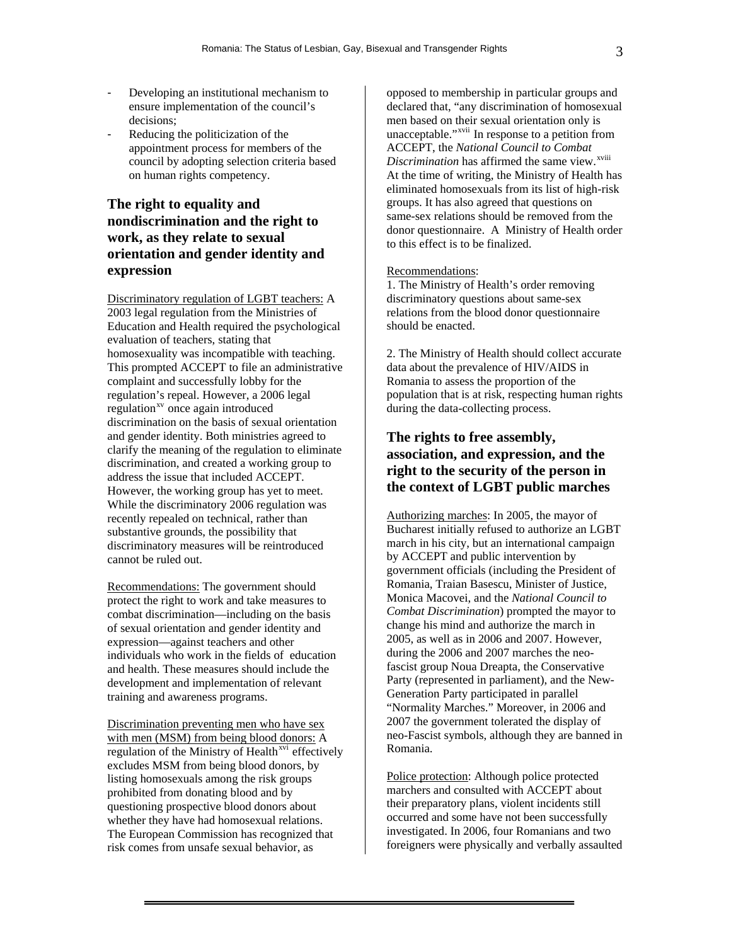- Developing an institutional mechanism to ensure implementation of the council's decisions;
- Reducing the politicization of the appointment process for members of the council by adopting selection criteria based on human rights competency.

# **The right to equality and nondiscrimination and the right to work, as they relate to sexual orientation and gender identity and expression**

Discriminatory regulation of LGBT teachers: A 2003 legal regulation from the Ministries of Education and Health required the psychological evaluation of teachers, stating that homosexuality was incompatible with teaching. This prompted ACCEPT to file an administrative complaint and successfully lobby for the regulation's repeal. However, a 2006 legal regulation<sup>[xv](#page-6-1)</sup> once again introduced discrimination on the basis of sexual orientation and gender identity. Both ministries agreed to clarify the meaning of the regulation to eliminate discrimination, and created a working group to address the issue that included ACCEPT. However, the working group has yet to meet. While the discriminatory 2006 regulation was recently repealed on technical, rather than substantive grounds, the possibility that discriminatory measures will be reintroduced cannot be ruled out.

Recommendations: The government should protect the right to work and take measures to combat discrimination—including on the basis of sexual orientation and gender identity and expression—against teachers and other individuals who work in the fields of education and health. These measures should include the development and implementation of relevant training and awareness programs.

Discrimination preventing men who have sex with men (MSM) from being blood donors: A regulation of the Ministry of Health<sup>[xvi](#page-6-1)</sup> effectively excludes MSM from being blood donors, by listing homosexuals among the risk groups prohibited from donating blood and by questioning prospective blood donors about whether they have had homosexual relations. The European Commission has recognized that risk comes from unsafe sexual behavior, as

opposed to membership in particular groups and declared that, "any discrimination of homosexual men based on their sexual orientation only is unacceptable."[xvii](#page-6-1) In response to a petition from ACCEPT, the *National Council to Combat Discrimination* has affirmed the same view.<sup>[xviii](#page-6-1)</sup> At the time of writing, the Ministry of Health has eliminated homosexuals from its list of high-risk groups. It has also agreed that questions on same-sex relations should be removed from the donor questionnaire. A Ministry of Health order to this effect is to be finalized.

#### Recommendations:

1. The Ministry of Health's order removing discriminatory questions about same-sex relations from the blood donor questionnaire should be enacted.

2. The Ministry of Health should collect accurate data about the prevalence of HIV/AIDS in Romania to assess the proportion of the population that is at risk, respecting human rights during the data-collecting process.

# **The rights to free assembly, association, and expression, and the right to the security of the person in the context of LGBT public marches**

Authorizing marches: In 2005, the mayor of Bucharest initially refused to authorize an LGBT march in his city, but an international campaign by ACCEPT and public intervention by government officials (including the President of Romania, Traian Basescu, Minister of Justice, Monica Macovei, and the *National Council to Combat Discrimination*) prompted the mayor to change his mind and authorize the march in 2005, as well as in 2006 and 2007. However, during the 2006 and 2007 marches the neofascist group Noua Dreapta, the Conservative Party (represented in parliament), and the New-Generation Party participated in parallel "Normality Marches." Moreover, in 2006 and 2007 the government tolerated the display of neo-Fascist symbols, although they are banned in Romania.

Police protection: Although police protected marchers and consulted with ACCEPT about their preparatory plans, violent incidents still occurred and some have not been successfully investigated. In 2006, four Romanians and two foreigners were physically and verbally assaulted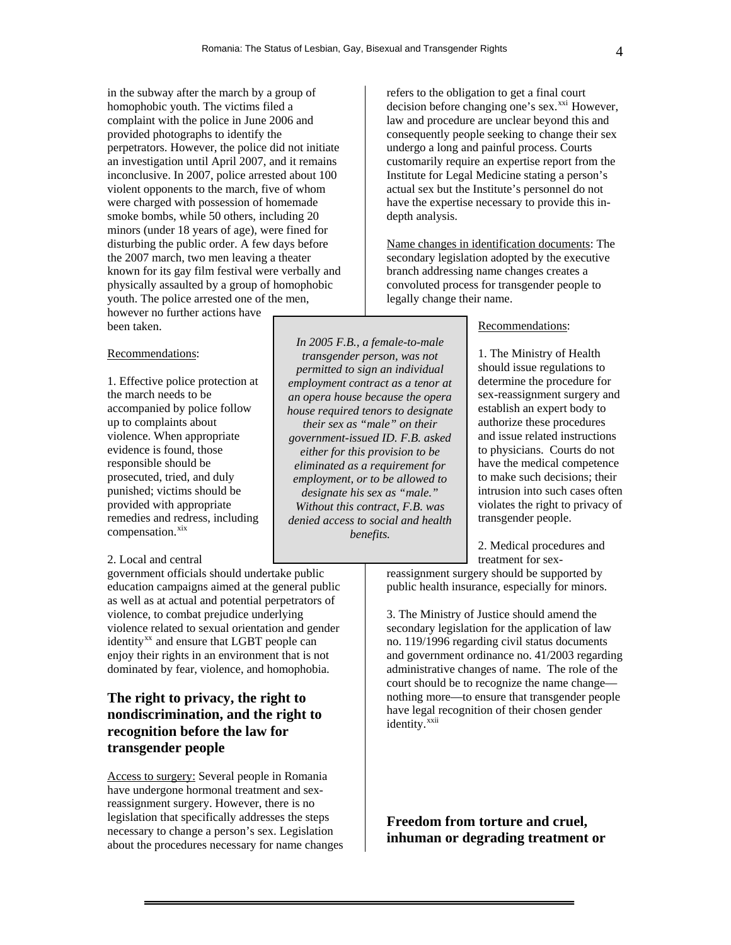in the subway after the march by a group of homophobic youth. The victims filed a complaint with the police in June 2006 and provided photographs to identify the perpetrators. However, the police did not initiate an investigation until April 2007, and it remains inconclusive. In 2007, police arrested about 100 violent opponents to the march, five of whom were charged with possession of homemade smoke bombs, while 50 others, including 20 minors (under 18 years of age), were fined for disturbing the public order. A few days before the 2007 march, two men leaving a theater known for its gay film festival were verbally and physically assaulted by a group of homophobic youth. The police arrested one of the men, however no further actions have

been taken.

### Recommendations:

1. Effective police protection at the march needs to be accompanied by police follow up to complaints about violence. When appropriate evidence is found, those responsible should be prosecuted, tried, and duly punished; victims should be provided with appropriate remedies and redress, including compensation.<sup>[xix](#page-6-1)</sup>

#### 2. Local and central

government officials should undertake public education campaigns aimed at the general public as well as at actual and potential perpetrators of violence, to combat prejudice underlying violence related to sexual orientation and gender identity<sup>[xx](#page-6-1)</sup> and ensure that LGBT people can enjoy their rights in an environment that is not dominated by fear, violence, and homophobia.

# **The right to privacy, the right to nondiscrimination, and the right to recognition before the law for transgender people**

Access to surgery: Several people in Romania have undergone hormonal treatment and sexreassignment surgery. However, there is no legislation that specifically addresses the steps necessary to change a person's sex. Legislation about the procedures necessary for name changes refers to the obligation to get a final court decision before changing one's sex.<sup>[xxi](#page-6-1)</sup> However, law and procedure are unclear beyond this and consequently people seeking to change their sex undergo a long and painful process. Courts customarily require an expertise report from the Institute for Legal Medicine stating a person's actual sex but the Institute's personnel do not have the expertise necessary to provide this indepth analysis.

Name changes in identification documents: The secondary legislation adopted by the executive branch addressing name changes creates a convoluted process for transgender people to legally change their name.

#### Recommendations:

1. The Ministry of Health should issue regulations to determine the procedure for sex-reassignment surgery and establish an expert body to authorize these procedures and issue related instructions to physicians. Courts do not have the medical competence to make such decisions; their intrusion into such cases often violates the right to privacy of transgender people.

2. Medical procedures and treatment for sex-

reassignment surgery should be supported by public health insurance, especially for minors.

3. The Ministry of Justice should amend the secondary legislation for the application of law no. 119/1996 regarding civil status documents and government ordinance no. 41/2003 regarding administrative changes of name. The role of the court should be to recognize the name change nothing more—to ensure that transgender people have legal recognition of their chosen gender identity.<sup>[xxii](#page-6-1)</sup>

**Freedom from torture and cruel, inhuman or degrading treatment or** 

*transgender person, was not permitted to sign an individual employment contract as a tenor at an opera house because the opera house required tenors to designate their sex as "male" on their government-issued ID. F.B. asked either for this provision to be eliminated as a requirement for employment, or to be allowed to designate his sex as "male." Without this contract, F.B. was denied access to social and health benefits.* 

*In 2005 F.B., a female-to-male*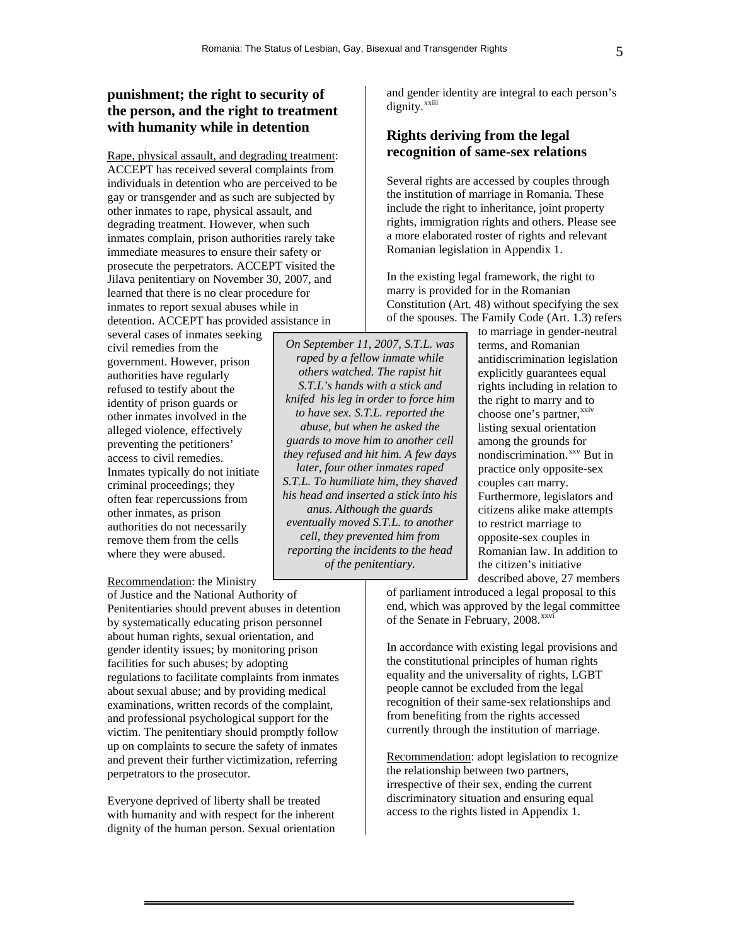*On September 11, 2007, S.T.L. was raped by a fellow inmate while others watched. The rapist hit S.T.L's hands with a stick and knifed his leg in order to force him to have sex. S.T.L. reported the abuse, but when he asked the guards to move him to another cell they refused and hit him. A few days later, four other inmates raped S.T.L. To humiliate him, they shaved his head and inserted a stick into his anus. Although the guards eventually moved S.T.L. to another cell, they prevented him from reporting the incidents to the head of the penitentiary.* 

## **punishment; the right to security of the person, and the right to treatment with humanity while in detention**

Rape, physical assault, and degrading treatment: ACCEPT has received several complaints from individuals in detention who are perceived to be gay or transgender and as such are subjected by other inmates to rape, physical assault, and degrading treatment. However, when such inmates complain, prison authorities rarely take immediate measures to ensure their safety or prosecute the perpetrators. ACCEPT visited the Jilava penitentiary on November 30, 2007, and learned that there is no clear procedure for inmates to report sexual abuses while in detention. ACCEPT has provided assistance in

several cases of inmates seeking civil remedies from the government. However, prison authorities have regularly refused to testify about the identity of prison guards or other inmates involved in the alleged violence, effectively preventing the petitioners' access to civil remedies. Inmates typically do not initiate criminal proceedings; they often fear repercussions from other inmates, as prison authorities do not necessarily remove them from the cells where they were abused.

### Recommendation: the Ministry

of Justice and the National Authority of Penitentiaries should prevent abuses in detention by systematically educating prison personnel about human rights, sexual orientation, and gender identity issues; by monitoring prison facilities for such abuses; by adopting regulations to facilitate complaints from inmates about sexual abuse; and by providing medical examinations, written records of the complaint, and professional psychological support for the victim. The penitentiary should promptly follow up on complaints to secure the safety of inmates and prevent their further victimization, referring perpetrators to the prosecutor.

Everyone deprived of liberty shall be treated with humanity and with respect for the inherent dignity of the human person. Sexual orientation

and gender identity are integral to each person's dignity.<sup>[xxiii](#page-6-1)</sup>

## **Rights deriving from the legal recognition of same-sex relations**

Several rights are accessed by couples through the institution of marriage in Romania. These include the right to inheritance, joint property rights, immigration rights and others. Please see a more elaborated roster of rights and relevant Romanian legislation in Appendix 1.

In the existing legal framework, the right to marry is provided for in the Romanian Constitution (Art. 48) without specifying the sex of the spouses. The Family Code (Art. 1.3) refers

> to marriage in gender-neutral terms, and Romanian antidiscrimination legislation explicitly guarantees equal rights including in relation to the right to marry and to choose one's partner,<sup>[xxiv](#page-6-1)</sup> listing sexual orientation among the grounds for nondiscrimination.<sup>[xxv](#page-6-1)</sup> But in practice only opposite-sex couples can marry. Furthermore, legislators and citizens alike make attempts to restrict marriage to opposite-sex couples in Romanian law. In addition to the citizen's initiative described above, 27 members

of parliament introduced a legal proposal to this end, which was approved by the legal committee of the Senate in February, 2008.<sup>[xxvi](#page-6-1)</sup>

In accordance with existing legal provisions and the constitutional principles of human rights equality and the universality of rights, LGBT people cannot be excluded from the legal recognition of their same-sex relationships and from benefiting from the rights accessed currently through the institution of marriage.

Recommendation: adopt legislation to recognize the relationship between two partners, irrespective of their sex, ending the current discriminatory situation and ensuring equal access to the rights listed in Appendix 1.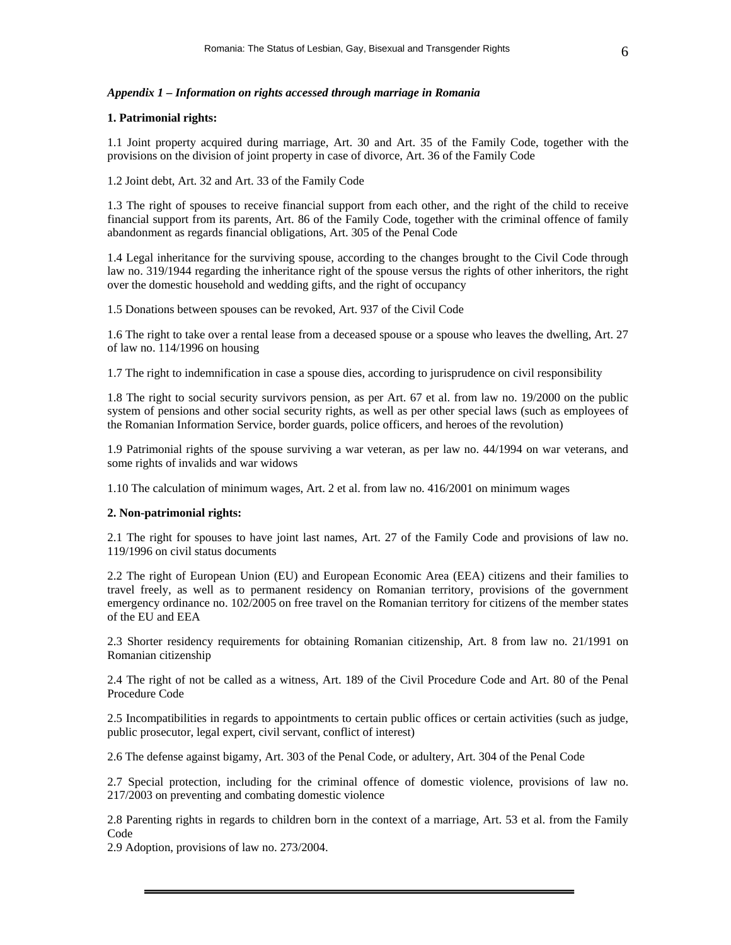### *Appendix 1 – Information on rights accessed through marriage in Romania*

#### **1. Patrimonial rights:**

1.1 Joint property acquired during marriage, Art. 30 and Art. 35 of the Family Code, together with the provisions on the division of joint property in case of divorce, Art. 36 of the Family Code

1.2 Joint debt, Art. 32 and Art. 33 of the Family Code

1.3 The right of spouses to receive financial support from each other, and the right of the child to receive financial support from its parents, Art. 86 of the Family Code, together with the criminal offence of family abandonment as regards financial obligations, Art. 305 of the Penal Code

1.4 Legal inheritance for the surviving spouse, according to the changes brought to the Civil Code through law no. 319/1944 regarding the inheritance right of the spouse versus the rights of other inheritors, the right over the domestic household and wedding gifts, and the right of occupancy

1.5 Donations between spouses can be revoked, Art. 937 of the Civil Code

1.6 The right to take over a rental lease from a deceased spouse or a spouse who leaves the dwelling, Art. 27 of law no. 114/1996 on housing

1.7 The right to indemnification in case a spouse dies, according to jurisprudence on civil responsibility

1.8 The right to social security survivors pension, as per Art. 67 et al. from law no. 19/2000 on the public system of pensions and other social security rights, as well as per other special laws (such as employees of the Romanian Information Service, border guards, police officers, and heroes of the revolution)

1.9 Patrimonial rights of the spouse surviving a war veteran, as per law no. 44/1994 on war veterans, and some rights of invalids and war widows

1.10 The calculation of minimum wages, Art. 2 et al. from law no. 416/2001 on minimum wages

#### **2. Non-patrimonial rights:**

2.1 The right for spouses to have joint last names, Art. 27 of the Family Code and provisions of law no. 119/1996 on civil status documents

2.2 The right of European Union (EU) and European Economic Area (EEA) citizens and their families to travel freely, as well as to permanent residency on Romanian territory, provisions of the government emergency ordinance no. 102/2005 on free travel on the Romanian territory for citizens of the member states of the EU and EEA

2.3 Shorter residency requirements for obtaining Romanian citizenship, Art. 8 from law no. 21/1991 on Romanian citizenship

2.4 The right of not be called as a witness, Art. 189 of the Civil Procedure Code and Art. 80 of the Penal Procedure Code

2.5 Incompatibilities in regards to appointments to certain public offices or certain activities (such as judge, public prosecutor, legal expert, civil servant, conflict of interest)

2.6 The defense against bigamy, Art. 303 of the Penal Code, or adultery, Art. 304 of the Penal Code

2.7 Special protection, including for the criminal offence of domestic violence, provisions of law no. 217/2003 on preventing and combating domestic violence

2.8 Parenting rights in regards to children born in the context of a marriage, Art. 53 et al. from the Family Code

2.9 Adoption, provisions of law no. 273/2004.